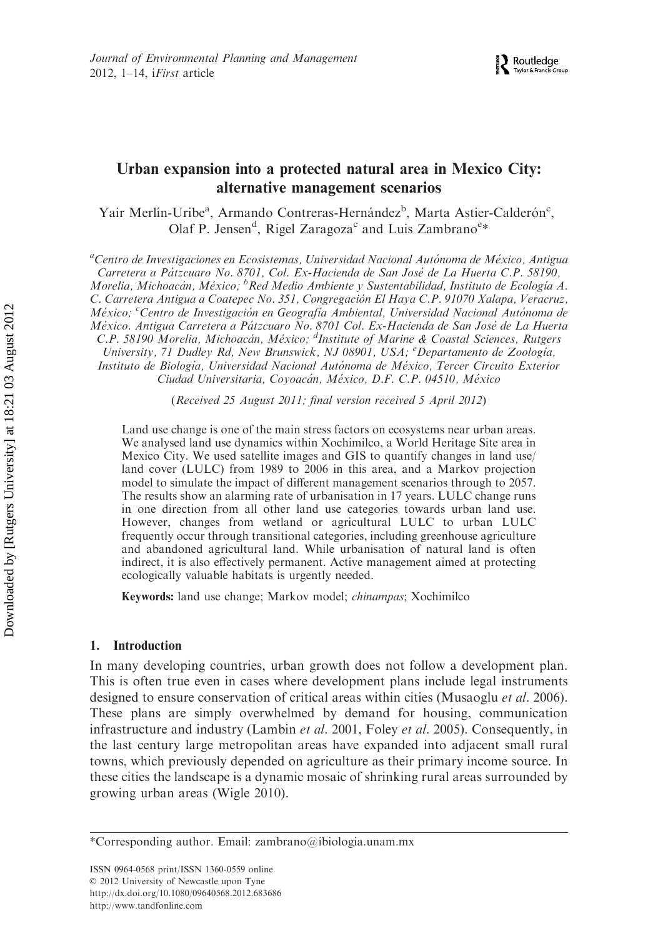# Urban expansion into a protected natural area in Mexico City: alternative management scenarios

Yair Merlín-Uribe<sup>a</sup>, Armando Contreras-Hernández<sup>b</sup>, Marta Astier-Calderón<sup>c</sup>, Olaf P. Jensen<sup>d</sup>, Rigel Zaragoza<sup>c</sup> and Luis Zambrano<sup>e</sup>\*

<sup>a</sup>Centro de Investigaciones en Ecosistemas, Universidad Nacional Autónoma de México, Antigua Carretera a Pátzcuaro No. 8701, Col. Ex-Hacienda de San José de La Huerta C.P. 58190, Morelia, Michoacán, México; <sup>b</sup>Red Medio Ambiente y Sustentabilidad, Instituto de Ecología A. C. Carretera Antigua a Coatepec No. 351, Congregación El Haya C.P. 91070 Xalapa, Veracruz, México; <sup>c</sup>Centro de Investigación en Geografía Ambiental, Universidad Nacional Autónoma de México. Antigua Carretera a Pátzcuaro No. 8701 Col. Ex-Hacienda de San José de La Huerta C.P. 58190 Morelia, Michoacán, México; <sup>d</sup>Institute of Marine & Coastal Sciences, Rutgers University, 71 Dudley Rd, New Brunswick, NJ 08901, USA; <sup>e</sup>Departamento de Zoología, Instituto de Biología, Universidad Nacional Autónoma de México, Tercer Circuito Exterior Ciudad Universitaria, Coyoacán, México, D.F. C.P. 04510, México

(Received 25 August 2011; final version received 5 April 2012)

Land use change is one of the main stress factors on ecosystems near urban areas. We analysed land use dynamics within Xochimilco, a World Heritage Site area in Mexico City. We used satellite images and GIS to quantify changes in land use/ land cover (LULC) from 1989 to 2006 in this area, and a Markov projection model to simulate the impact of different management scenarios through to 2057. The results show an alarming rate of urbanisation in 17 years. LULC change runs in one direction from all other land use categories towards urban land use. However, changes from wetland or agricultural LULC to urban LULC frequently occur through transitional categories, including greenhouse agriculture and abandoned agricultural land. While urbanisation of natural land is often indirect, it is also effectively permanent. Active management aimed at protecting ecologically valuable habitats is urgently needed.

Keywords: land use change; Markov model; chinampas; Xochimilco

## 1. Introduction

In many developing countries, urban growth does not follow a development plan. This is often true even in cases where development plans include legal instruments designed to ensure conservation of critical areas within cities (Musaoglu et al. 2006). These plans are simply overwhelmed by demand for housing, communication infrastructure and industry (Lambin et al. 2001, Foley et al. 2005). Consequently, in the last century large metropolitan areas have expanded into adjacent small rural towns, which previously depended on agriculture as their primary income source. In these cities the landscape is a dynamic mosaic of shrinking rural areas surrounded by growing urban areas (Wigle 2010).

<sup>\*</sup>Corresponding author. Email: zambrano@ibiologia.unam.mx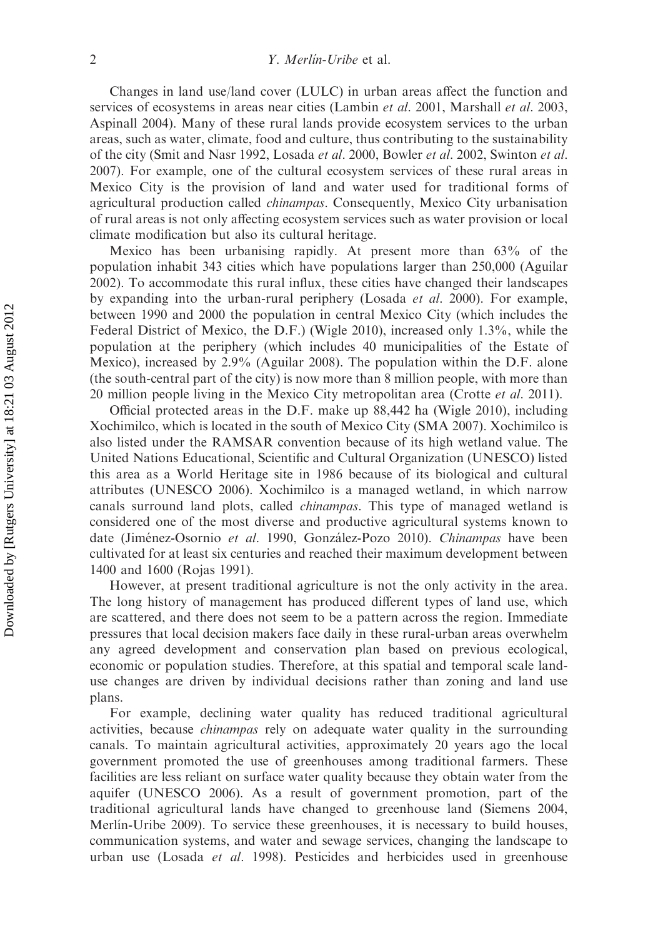Changes in land use/land cover (LULC) in urban areas affect the function and services of ecosystems in areas near cities (Lambin et al. 2001, Marshall et al. 2003, Aspinall 2004). Many of these rural lands provide ecosystem services to the urban areas, such as water, climate, food and culture, thus contributing to the sustainability of the city (Smit and Nasr 1992, Losada et al. 2000, Bowler et al. 2002, Swinton et al. 2007). For example, one of the cultural ecosystem services of these rural areas in Mexico City is the provision of land and water used for traditional forms of agricultural production called *chinampas*. Consequently, Mexico City urbanisation of rural areas is not only affecting ecosystem services such as water provision or local climate modification but also its cultural heritage.

Mexico has been urbanising rapidly. At present more than 63% of the population inhabit 343 cities which have populations larger than 250,000 (Aguilar 2002). To accommodate this rural influx, these cities have changed their landscapes by expanding into the urban-rural periphery (Losada *et al.* 2000). For example, between 1990 and 2000 the population in central Mexico City (which includes the Federal District of Mexico, the D.F.) (Wigle 2010), increased only 1.3%, while the population at the periphery (which includes 40 municipalities of the Estate of Mexico), increased by 2.9% (Aguilar 2008). The population within the D.F. alone (the south-central part of the city) is now more than 8 million people, with more than 20 million people living in the Mexico City metropolitan area (Crotte *et al.* 2011).

Official protected areas in the D.F. make up 88,442 ha (Wigle 2010), including Xochimilco, which is located in the south of Mexico City (SMA 2007). Xochimilco is also listed under the RAMSAR convention because of its high wetland value. The United Nations Educational, Scientific and Cultural Organization (UNESCO) listed this area as a World Heritage site in 1986 because of its biological and cultural attributes (UNESCO 2006). Xochimilco is a managed wetland, in which narrow canals surround land plots, called *chinampas*. This type of managed wetland is considered one of the most diverse and productive agricultural systems known to date (Jiménez-Osornio et al. 1990, González-Pozo 2010). Chinampas have been cultivated for at least six centuries and reached their maximum development between 1400 and 1600 (Rojas 1991).

However, at present traditional agriculture is not the only activity in the area. The long history of management has produced different types of land use, which are scattered, and there does not seem to be a pattern across the region. Immediate pressures that local decision makers face daily in these rural-urban areas overwhelm any agreed development and conservation plan based on previous ecological, economic or population studies. Therefore, at this spatial and temporal scale landuse changes are driven by individual decisions rather than zoning and land use plans.

For example, declining water quality has reduced traditional agricultural activities, because chinampas rely on adequate water quality in the surrounding canals. To maintain agricultural activities, approximately 20 years ago the local government promoted the use of greenhouses among traditional farmers. These facilities are less reliant on surface water quality because they obtain water from the aquifer (UNESCO 2006). As a result of government promotion, part of the traditional agricultural lands have changed to greenhouse land (Siemens 2004, Merlín-Uribe 2009). To service these greenhouses, it is necessary to build houses, communication systems, and water and sewage services, changing the landscape to urban use (Losada et al. 1998). Pesticides and herbicides used in greenhouse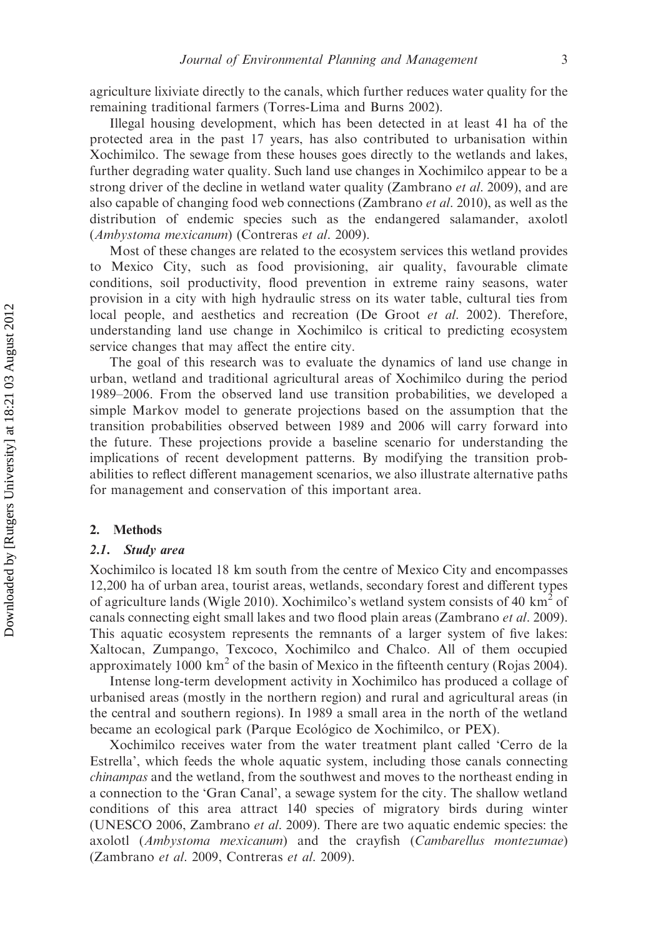agriculture lixiviate directly to the canals, which further reduces water quality for the remaining traditional farmers (Torres-Lima and Burns 2002).

Illegal housing development, which has been detected in at least 41 ha of the protected area in the past 17 years, has also contributed to urbanisation within Xochimilco. The sewage from these houses goes directly to the wetlands and lakes, further degrading water quality. Such land use changes in Xochimilco appear to be a strong driver of the decline in wetland water quality (Zambrano *et al.* 2009), and are also capable of changing food web connections (Zambrano *et al.* 2010), as well as the distribution of endemic species such as the endangered salamander, axolotl (Ambystoma mexicanum) (Contreras et al. 2009).

Most of these changes are related to the ecosystem services this wetland provides to Mexico City, such as food provisioning, air quality, favourable climate conditions, soil productivity, flood prevention in extreme rainy seasons, water provision in a city with high hydraulic stress on its water table, cultural ties from local people, and aesthetics and recreation (De Groot *et al.* 2002). Therefore, understanding land use change in Xochimilco is critical to predicting ecosystem service changes that may affect the entire city.

The goal of this research was to evaluate the dynamics of land use change in urban, wetland and traditional agricultural areas of Xochimilco during the period 1989–2006. From the observed land use transition probabilities, we developed a simple Markov model to generate projections based on the assumption that the transition probabilities observed between 1989 and 2006 will carry forward into the future. These projections provide a baseline scenario for understanding the implications of recent development patterns. By modifying the transition probabilities to reflect different management scenarios, we also illustrate alternative paths for management and conservation of this important area.

#### 2. Methods

#### 2.1. Study area

Xochimilco is located 18 km south from the centre of Mexico City and encompasses 12,200 ha of urban area, tourist areas, wetlands, secondary forest and different types of agriculture lands (Wigle 2010). Xochimilco's wetland system consists of 40 km<sup>2</sup> of canals connecting eight small lakes and two flood plain areas (Zambrano *et al.* 2009). This aquatic ecosystem represents the remnants of a larger system of five lakes: Xaltocan, Zumpango, Texcoco, Xochimilco and Chalco. All of them occupied approximately 1000 km<sup>2</sup> of the basin of Mexico in the fifteenth century (Rojas 2004).

Intense long-term development activity in Xochimilco has produced a collage of urbanised areas (mostly in the northern region) and rural and agricultural areas (in the central and southern regions). In 1989 a small area in the north of the wetland became an ecological park (Parque Ecológico de Xochimilco, or PEX).

Xochimilco receives water from the water treatment plant called 'Cerro de la Estrella', which feeds the whole aquatic system, including those canals connecting chinampas and the wetland, from the southwest and moves to the northeast ending in a connection to the 'Gran Canal', a sewage system for the city. The shallow wetland conditions of this area attract 140 species of migratory birds during winter (UNESCO 2006, Zambrano et al. 2009). There are two aquatic endemic species: the axolotl (Ambystoma mexicanum) and the crayfish (Cambarellus montezumae) (Zambrano et al. 2009, Contreras et al. 2009).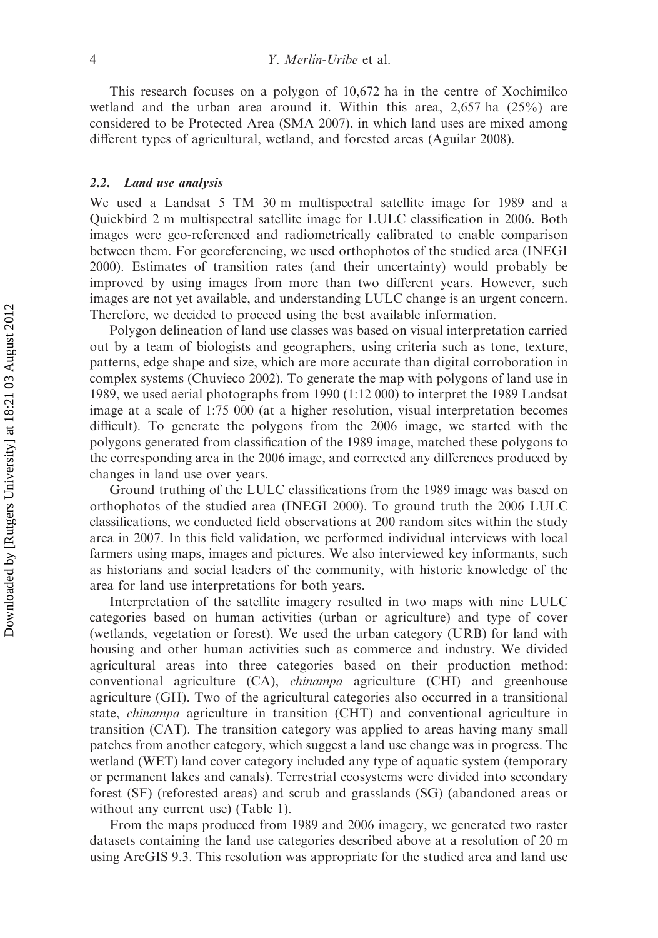This research focuses on a polygon of 10,672 ha in the centre of Xochimilco wetland and the urban area around it. Within this area, 2,657 ha (25%) are considered to be Protected Area (SMA 2007), in which land uses are mixed among different types of agricultural, wetland, and forested areas (Aguilar 2008).

#### 2.2. Land use analysis

We used a Landsat 5 TM 30 m multispectral satellite image for 1989 and a Quickbird 2 m multispectral satellite image for LULC classification in 2006. Both images were geo-referenced and radiometrically calibrated to enable comparison between them. For georeferencing, we used orthophotos of the studied area (INEGI 2000). Estimates of transition rates (and their uncertainty) would probably be improved by using images from more than two different years. However, such images are not yet available, and understanding LULC change is an urgent concern. Therefore, we decided to proceed using the best available information.

Polygon delineation of land use classes was based on visual interpretation carried out by a team of biologists and geographers, using criteria such as tone, texture, patterns, edge shape and size, which are more accurate than digital corroboration in complex systems (Chuvieco 2002). To generate the map with polygons of land use in 1989, we used aerial photographs from 1990 (1:12 000) to interpret the 1989 Landsat image at a scale of 1:75 000 (at a higher resolution, visual interpretation becomes difficult). To generate the polygons from the 2006 image, we started with the polygons generated from classification of the 1989 image, matched these polygons to the corresponding area in the 2006 image, and corrected any differences produced by changes in land use over years.

Ground truthing of the LULC classifications from the 1989 image was based on orthophotos of the studied area (INEGI 2000). To ground truth the 2006 LULC classifications, we conducted field observations at 200 random sites within the study area in 2007. In this field validation, we performed individual interviews with local farmers using maps, images and pictures. We also interviewed key informants, such as historians and social leaders of the community, with historic knowledge of the area for land use interpretations for both years.

Interpretation of the satellite imagery resulted in two maps with nine LULC categories based on human activities (urban or agriculture) and type of cover (wetlands, vegetation or forest). We used the urban category (URB) for land with housing and other human activities such as commerce and industry. We divided agricultural areas into three categories based on their production method: conventional agriculture (CA), chinampa agriculture (CHI) and greenhouse agriculture (GH). Two of the agricultural categories also occurred in a transitional state, chinampa agriculture in transition (CHT) and conventional agriculture in transition (CAT). The transition category was applied to areas having many small patches from another category, which suggest a land use change was in progress. The wetland (WET) land cover category included any type of aquatic system (temporary or permanent lakes and canals). Terrestrial ecosystems were divided into secondary forest (SF) (reforested areas) and scrub and grasslands (SG) (abandoned areas or without any current use) (Table 1).

From the maps produced from 1989 and 2006 imagery, we generated two raster datasets containing the land use categories described above at a resolution of 20 m using ArcGIS 9.3. This resolution was appropriate for the studied area and land use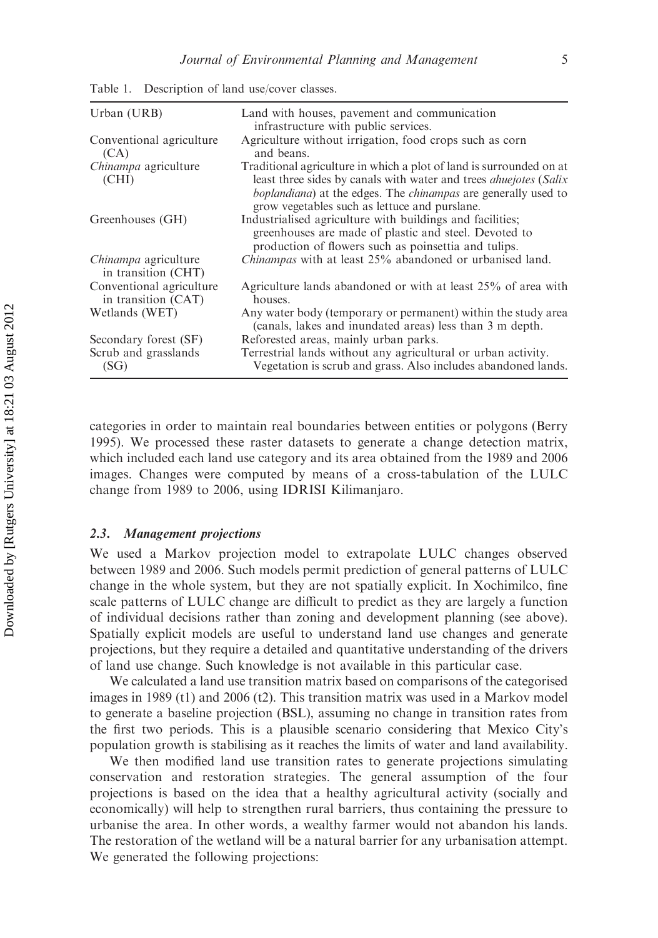| Urban (URB)                                     | Land with houses, pavement and communication<br>infrastructure with public services.                                                                                                                                                                                                        |
|-------------------------------------------------|---------------------------------------------------------------------------------------------------------------------------------------------------------------------------------------------------------------------------------------------------------------------------------------------|
| Conventional agriculture<br>(CA)                | Agriculture without irrigation, food crops such as corn<br>and beans.                                                                                                                                                                                                                       |
| <i>Chinampa</i> agriculture<br>(CHI)            | Traditional agriculture in which a plot of land is surrounded on at<br>least three sides by canals with water and trees <i>ahuejotes</i> ( <i>Salix</i> )<br><i>boplandiana</i> ) at the edges. The <i>chinampas</i> are generally used to<br>grow vegetables such as lettuce and purslane. |
| Greenhouses (GH)                                | Industrialised agriculture with buildings and facilities;<br>greenhouses are made of plastic and steel. Devoted to<br>production of flowers such as poinsettia and tulips.                                                                                                                  |
| Chinampa agriculture<br>in transition (CHT)     | <i>Chinampas</i> with at least 25% abandoned or urbanised land.                                                                                                                                                                                                                             |
| Conventional agriculture<br>in transition (CAT) | Agriculture lands abandoned or with at least 25% of area with<br>houses.                                                                                                                                                                                                                    |
| Wetlands (WET)                                  | Any water body (temporary or permanent) within the study area<br>(canals, lakes and inundated areas) less than 3 m depth.                                                                                                                                                                   |
| Secondary forest (SF)                           | Reforested areas, mainly urban parks.                                                                                                                                                                                                                                                       |
| Scrub and grasslands<br>(SG)                    | Terrestrial lands without any agricultural or urban activity.<br>Vegetation is scrub and grass. Also includes abandoned lands.                                                                                                                                                              |

Table 1. Description of land use/cover classes.

categories in order to maintain real boundaries between entities or polygons (Berry 1995). We processed these raster datasets to generate a change detection matrix, which included each land use category and its area obtained from the 1989 and 2006 images. Changes were computed by means of a cross-tabulation of the LULC change from 1989 to 2006, using IDRISI Kilimanjaro.

## 2.3. Management projections

We used a Markov projection model to extrapolate LULC changes observed between 1989 and 2006. Such models permit prediction of general patterns of LULC change in the whole system, but they are not spatially explicit. In Xochimilco, fine scale patterns of LULC change are difficult to predict as they are largely a function of individual decisions rather than zoning and development planning (see above). Spatially explicit models are useful to understand land use changes and generate projections, but they require a detailed and quantitative understanding of the drivers of land use change. Such knowledge is not available in this particular case.

We calculated a land use transition matrix based on comparisons of the categorised images in 1989 (t1) and 2006 (t2). This transition matrix was used in a Markov model to generate a baseline projection (BSL), assuming no change in transition rates from the first two periods. This is a plausible scenario considering that Mexico City's population growth is stabilising as it reaches the limits of water and land availability.

We then modified land use transition rates to generate projections simulating conservation and restoration strategies. The general assumption of the four projections is based on the idea that a healthy agricultural activity (socially and economically) will help to strengthen rural barriers, thus containing the pressure to urbanise the area. In other words, a wealthy farmer would not abandon his lands. The restoration of the wetland will be a natural barrier for any urbanisation attempt. We generated the following projections: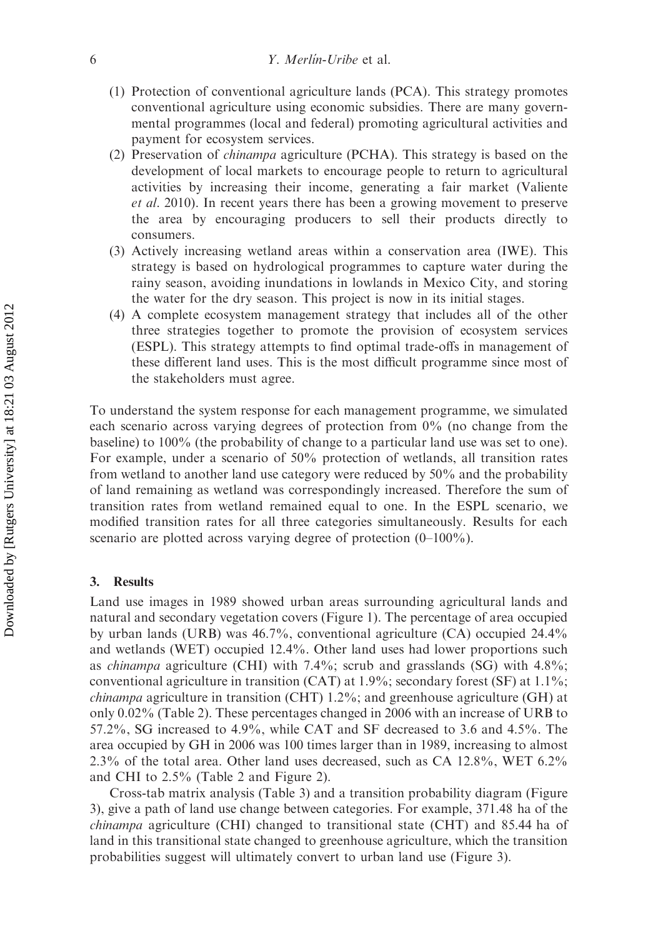- (1) Protection of conventional agriculture lands (PCA). This strategy promotes conventional agriculture using economic subsidies. There are many governmental programmes (local and federal) promoting agricultural activities and payment for ecosystem services.
- (2) Preservation of chinampa agriculture (PCHA). This strategy is based on the development of local markets to encourage people to return to agricultural activities by increasing their income, generating a fair market (Valiente et al. 2010). In recent years there has been a growing movement to preserve the area by encouraging producers to sell their products directly to consumers.
- (3) Actively increasing wetland areas within a conservation area (IWE). This strategy is based on hydrological programmes to capture water during the rainy season, avoiding inundations in lowlands in Mexico City, and storing the water for the dry season. This project is now in its initial stages.
- (4) A complete ecosystem management strategy that includes all of the other three strategies together to promote the provision of ecosystem services (ESPL). This strategy attempts to find optimal trade-offs in management of these different land uses. This is the most difficult programme since most of the stakeholders must agree.

To understand the system response for each management programme, we simulated each scenario across varying degrees of protection from 0% (no change from the baseline) to 100% (the probability of change to a particular land use was set to one). For example, under a scenario of 50% protection of wetlands, all transition rates from wetland to another land use category were reduced by 50% and the probability of land remaining as wetland was correspondingly increased. Therefore the sum of transition rates from wetland remained equal to one. In the ESPL scenario, we modified transition rates for all three categories simultaneously. Results for each scenario are plotted across varying degree of protection (0–100%).

## 3. Results

Land use images in 1989 showed urban areas surrounding agricultural lands and natural and secondary vegetation covers (Figure 1). The percentage of area occupied by urban lands (URB) was 46.7%, conventional agriculture (CA) occupied 24.4% and wetlands (WET) occupied 12.4%. Other land uses had lower proportions such as *chinampa* agriculture (CHI) with 7.4%; scrub and grasslands (SG) with 4.8%; conventional agriculture in transition (CAT) at 1.9%; secondary forest (SF) at 1.1%; *chinampa* agriculture in transition (CHT) 1.2%; and greenhouse agriculture (GH) at only 0.02% (Table 2). These percentages changed in 2006 with an increase of URB to 57.2%, SG increased to 4.9%, while CAT and SF decreased to 3.6 and 4.5%. The area occupied by GH in 2006 was 100 times larger than in 1989, increasing to almost 2.3% of the total area. Other land uses decreased, such as CA 12.8%, WET 6.2% and CHI to 2.5% (Table 2 and Figure 2).

Cross-tab matrix analysis (Table 3) and a transition probability diagram (Figure 3), give a path of land use change between categories. For example, 371.48 ha of the chinampa agriculture (CHI) changed to transitional state (CHT) and 85.44 ha of land in this transitional state changed to greenhouse agriculture, which the transition probabilities suggest will ultimately convert to urban land use (Figure 3).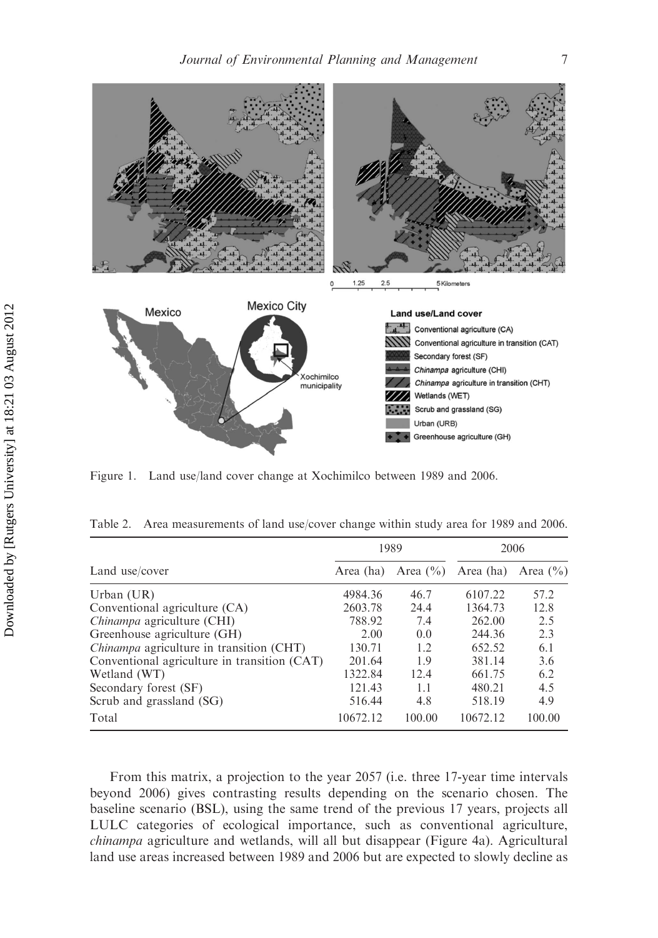

Figure 1. Land use/land cover change at Xochimilco between 1989 and 2006.

|                                                        |           | 1989         | 2006      |              |
|--------------------------------------------------------|-----------|--------------|-----------|--------------|
| Land use/cover                                         | Area (ha) | Area $(\% )$ | Area (ha) | Area $(\% )$ |
| Urban $(UR)$                                           | 4984.36   | 46.7         | 6107.22   | 57.2         |
| Conventional agriculture (CA)                          | 2603.78   | 24.4         | 1364.73   | 12.8         |
| <i>Chinampa</i> agriculture <i>(CHI)</i>               | 788.92    | 7.4          | 262.00    | 2.5          |
| Greenhouse agriculture (GH)                            | 2.00      | 0.0          | 244.36    | 2.3          |
| <i>Chinampa</i> agriculture in transition <i>(CHT)</i> | 130.71    | 1.2.         | 652.52    | 6.1          |
| Conventional agriculture in transition (CAT)           | 201.64    | 1.9          | 381.14    | 3.6          |
| Wetland (WT)                                           | 1322.84   | 12.4         | 661.75    | 6.2          |
| Secondary forest (SF)                                  | 121.43    | 1.1          | 480.21    | 4.5          |
| Scrub and grassland (SG)                               | 516.44    | 4.8          | 518.19    | 4.9          |
| Total                                                  | 10672.12  | 100.00       | 10672.12  | 100.00       |

Table 2. Area measurements of land use/cover change within study area for 1989 and 2006.

From this matrix, a projection to the year 2057 (i.e. three 17-year time intervals beyond 2006) gives contrasting results depending on the scenario chosen. The baseline scenario (BSL), using the same trend of the previous 17 years, projects all LULC categories of ecological importance, such as conventional agriculture, chinampa agriculture and wetlands, will all but disappear (Figure 4a). Agricultural land use areas increased between 1989 and 2006 but are expected to slowly decline as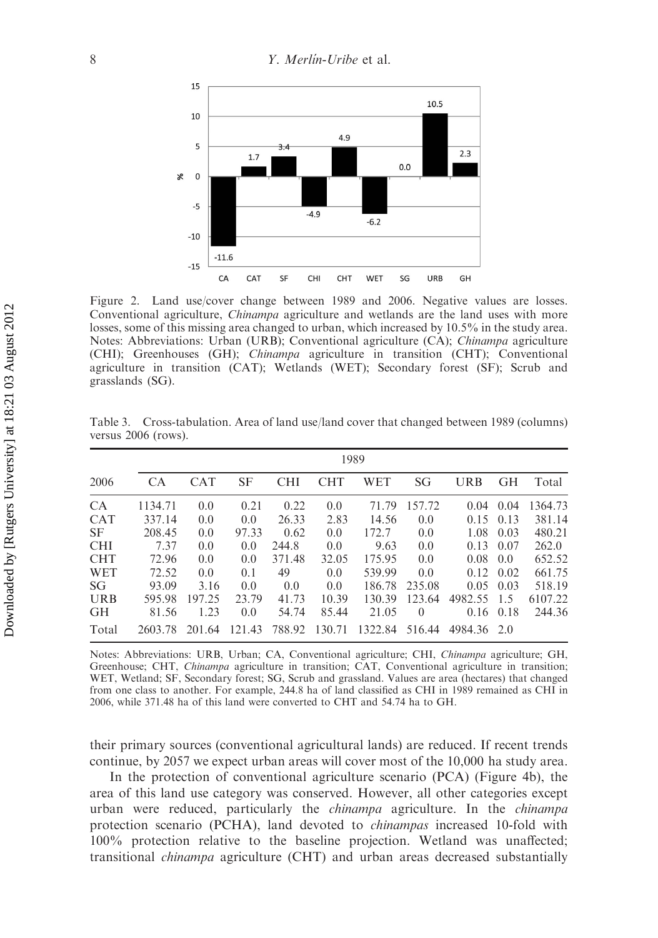

Figure 2. Land use/cover change between 1989 and 2006. Negative values are losses. Conventional agriculture, Chinampa agriculture and wetlands are the land uses with more losses, some of this missing area changed to urban, which increased by 10.5% in the study area. Notes: Abbreviations: Urban (URB); Conventional agriculture (CA); Chinampa agriculture (CHI); Greenhouses (GH); Chinampa agriculture in transition (CHT); Conventional agriculture in transition (CAT); Wetlands (WET); Secondary forest (SF); Scrub and grasslands (SG).

|            | 1989    |            |        |            |            |            |          |                   |           |         |
|------------|---------|------------|--------|------------|------------|------------|----------|-------------------|-----------|---------|
| 2006       | CA.     | <b>CAT</b> | SF     | <b>CHI</b> | <b>CHT</b> | <b>WET</b> | SG       | URB               | <b>GH</b> | Total   |
| <b>CA</b>  | 1134.71 | 0.0        | 0.21   | 0.22       | 0.0        | 71.79      | 157.72   | 0.04              | 0.04      | 1364.73 |
| <b>CAT</b> | 337.14  | 0.0        | 0.0    | 26.33      | 2.83       | 14.56      | 0.0      | $0.15 \quad 0.13$ |           | 381.14  |
| <b>SF</b>  | 208.45  | 0.0        | 97.33  | 0.62       | 0.0        | 172.7      | 0.0      | 1.08              | 0.03      | 480.21  |
| <b>CHI</b> | 7.37    | 0.0        | 0.0    | 244.8      | 0.0        | 9.63       | 0.0      | 0.13              | 0.07      | 262.0   |
| <b>CHT</b> | 72.96   | 0.0        | 0.0    | 371.48     | 32.05      | 175.95     | 0.0      | $0.08 \quad 0.0$  |           | 652.52  |
| WET        | 72.52   | 0.0        | 0.1    | 49         | 0.0        | 539.99     | 0.0      | $0.12 \quad 0.02$ |           | 661.75  |
| SG         | 93.09   | 3.16       | 0.0    | 0.0        | 0.0        | 186.78     | 235.08   | $0.05 \quad 0.03$ |           | 518.19  |
| <b>URB</b> | 595.98  | 197.25     | 23.79  | 41.73      | 10.39      | 130.39     | 123.64   | 4982.55           | 1.5       | 6107.22 |
| <b>GH</b>  | 81.56   | 1.23       | 0.0    | 54.74      | 85.44      | 21.05      | $\Omega$ | $0.16 \quad 0.18$ |           | 244.36  |
| Total      | 2603.78 | 201.64     | 121.43 | 788.92     | 130.71     | 1322.84    | 516.44   | 4984.36 2.0       |           |         |

Table 3. Cross-tabulation. Area of land use/land cover that changed between 1989 (columns) versus 2006 (rows).

Notes: Abbreviations: URB, Urban; CA, Conventional agriculture; CHI, Chinampa agriculture; GH, Greenhouse; CHT, Chinampa agriculture in transition; CAT, Conventional agriculture in transition; WET, Wetland; SF, Secondary forest; SG, Scrub and grassland. Values are area (hectares) that changed from one class to another. For example, 244.8 ha of land classified as CHI in 1989 remained as CHI in 2006, while 371.48 ha of this land were converted to CHT and 54.74 ha to GH.

their primary sources (conventional agricultural lands) are reduced. If recent trends continue, by 2057 we expect urban areas will cover most of the 10,000 ha study area.

In the protection of conventional agriculture scenario (PCA) (Figure 4b), the area of this land use category was conserved. However, all other categories except urban were reduced, particularly the *chinampa* agriculture. In the *chinampa* protection scenario (PCHA), land devoted to chinampas increased 10-fold with 100% protection relative to the baseline projection. Wetland was unaffected; transitional chinampa agriculture (CHT) and urban areas decreased substantially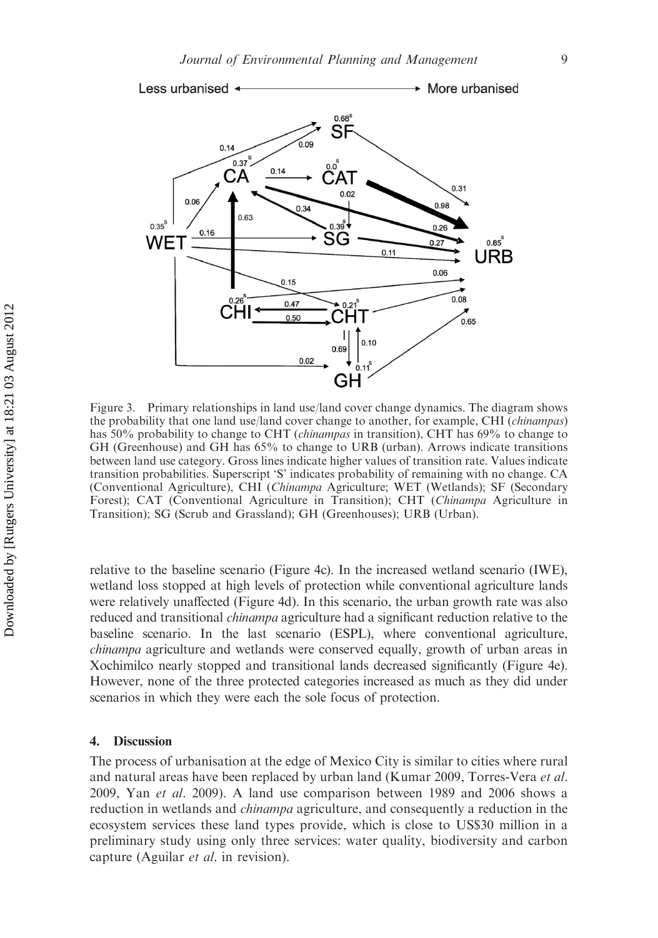

Figure 3. Primary relationships in land use/land cover change dynamics. The diagram shows the probability that one land use/land cover change to another, for example, CHI (chinampas) has 50% probability to change to CHT (*chinampas* in transition), CHT has 69% to change to GH (Greenhouse) and GH has 65% to change to URB (urban). Arrows indicate transitions between land use category. Gross lines indicate higher values of transition rate. Values indicate transition probabilities. Superscript 'S' indicates probability of remaining with no change. CA (Conventional Agriculture), CHI (Chinampa Agriculture; WET (Wetlands); SF (Secondary Forest); CAT (Conventional Agriculture in Transition); CHT (Chinampa Agriculture in Transition); SG (Scrub and Grassland); GH (Greenhouses); URB (Urban).

relative to the baseline scenario (Figure 4c). In the increased wetland scenario (IWE), wetland loss stopped at high levels of protection while conventional agriculture lands were relatively unaffected (Figure 4d). In this scenario, the urban growth rate was also reduced and transitional *chinampa* agriculture had a significant reduction relative to the baseline scenario. In the last scenario (ESPL), where conventional agriculture, chinampa agriculture and wetlands were conserved equally, growth of urban areas in Xochimilco nearly stopped and transitional lands decreased significantly (Figure 4e). However, none of the three protected categories increased as much as they did under scenarios in which they were each the sole focus of protection.

#### 4. Discussion

The process of urbanisation at the edge of Mexico City is similar to cities where rural and natural areas have been replaced by urban land (Kumar 2009, Torres-Vera et al. 2009, Yan et al. 2009). A land use comparison between 1989 and 2006 shows a reduction in wetlands and *chinampa* agriculture, and consequently a reduction in the ecosystem services these land types provide, which is close to US\$30 million in a preliminary study using only three services: water quality, biodiversity and carbon capture (Aguilar et al. in revision).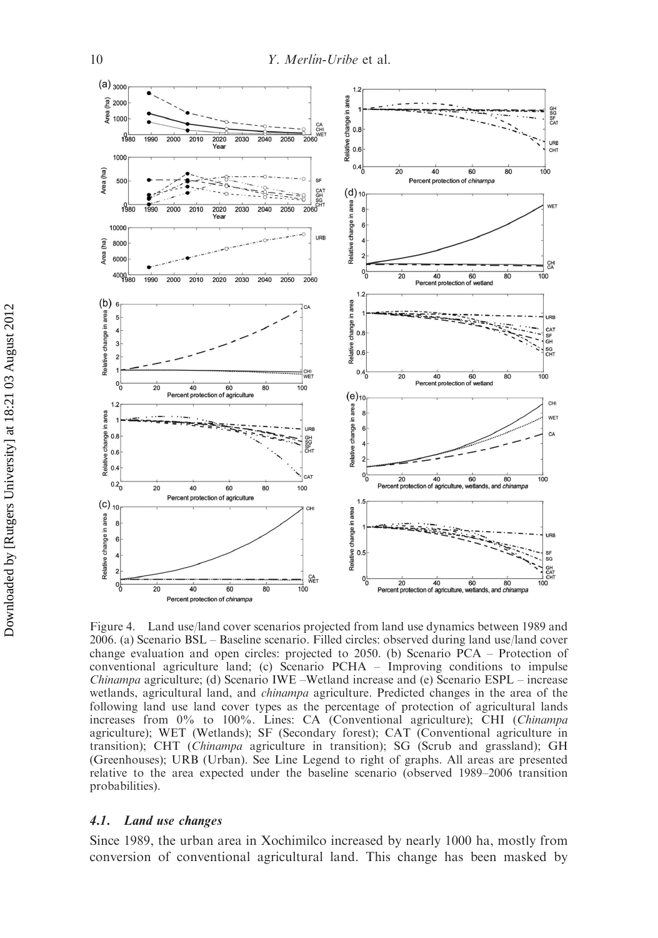

Figure 4. Land use/land cover scenarios projected from land use dynamics between 1989 and 2006. (a) Scenario BSL – Baseline scenario. Filled circles: observed during land use/land cover change evaluation and open circles: projected to 2050. (b) Scenario PCA – Protection of conventional agriculture land; (c) Scenario PCHA – Improving conditions to impulse Chinampa agriculture; (d) Scenario IWE –Wetland increase and (e) Scenario ESPL – increase wetlands, agricultural land, and *chinampa* agriculture. Predicted changes in the area of the following land use land cover types as the percentage of protection of agricultural lands increases from 0% to 100%. Lines: CA (Conventional agriculture); CHI (Chinampa agriculture); WET (Wetlands); SF (Secondary forest); CAT (Conventional agriculture in transition); CHT (Chinampa agriculture in transition); SG (Scrub and grassland); GH (Greenhouses); URB (Urban). See Line Legend to right of graphs. All areas are presented relative to the area expected under the baseline scenario (observed 1989–2006 transition probabilities).

#### 4.1. Land use changes

Since 1989, the urban area in Xochimilco increased by nearly 1000 ha, mostly from conversion of conventional agricultural land. This change has been masked by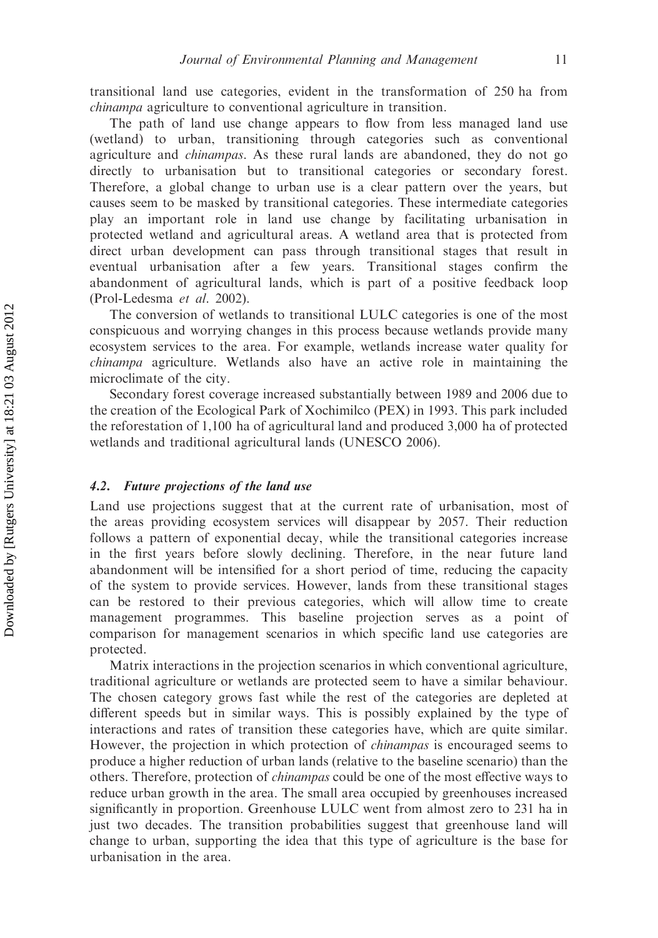transitional land use categories, evident in the transformation of 250 ha from chinampa agriculture to conventional agriculture in transition.

The path of land use change appears to flow from less managed land use (wetland) to urban, transitioning through categories such as conventional agriculture and chinampas. As these rural lands are abandoned, they do not go directly to urbanisation but to transitional categories or secondary forest. Therefore, a global change to urban use is a clear pattern over the years, but causes seem to be masked by transitional categories. These intermediate categories play an important role in land use change by facilitating urbanisation in protected wetland and agricultural areas. A wetland area that is protected from direct urban development can pass through transitional stages that result in eventual urbanisation after a few years. Transitional stages confirm the abandonment of agricultural lands, which is part of a positive feedback loop (Prol-Ledesma et al. 2002).

The conversion of wetlands to transitional LULC categories is one of the most conspicuous and worrying changes in this process because wetlands provide many ecosystem services to the area. For example, wetlands increase water quality for chinampa agriculture. Wetlands also have an active role in maintaining the microclimate of the city.

Secondary forest coverage increased substantially between 1989 and 2006 due to the creation of the Ecological Park of Xochimilco (PEX) in 1993. This park included the reforestation of 1,100 ha of agricultural land and produced 3,000 ha of protected wetlands and traditional agricultural lands (UNESCO 2006).

## 4.2. Future projections of the land use

Land use projections suggest that at the current rate of urbanisation, most of the areas providing ecosystem services will disappear by 2057. Their reduction follows a pattern of exponential decay, while the transitional categories increase in the first years before slowly declining. Therefore, in the near future land abandonment will be intensified for a short period of time, reducing the capacity of the system to provide services. However, lands from these transitional stages can be restored to their previous categories, which will allow time to create management programmes. This baseline projection serves as a point of comparison for management scenarios in which specific land use categories are protected.

Matrix interactions in the projection scenarios in which conventional agriculture, traditional agriculture or wetlands are protected seem to have a similar behaviour. The chosen category grows fast while the rest of the categories are depleted at different speeds but in similar ways. This is possibly explained by the type of interactions and rates of transition these categories have, which are quite similar. However, the projection in which protection of *chinampas* is encouraged seems to produce a higher reduction of urban lands (relative to the baseline scenario) than the others. Therefore, protection of chinampas could be one of the most effective ways to reduce urban growth in the area. The small area occupied by greenhouses increased significantly in proportion. Greenhouse LULC went from almost zero to 231 ha in just two decades. The transition probabilities suggest that greenhouse land will change to urban, supporting the idea that this type of agriculture is the base for urbanisation in the area.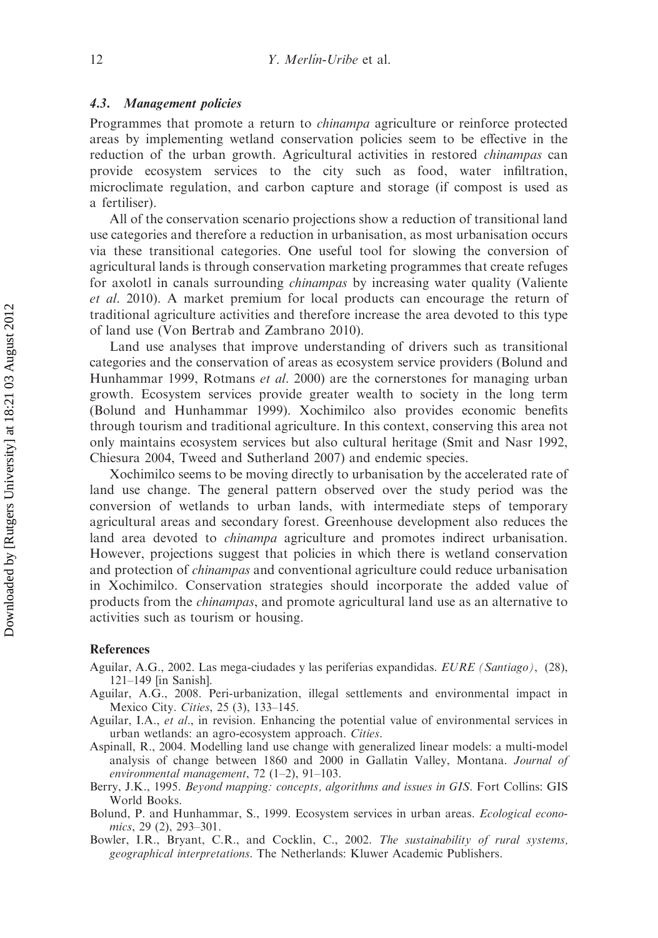## 4.3. Management policies

Programmes that promote a return to chinampa agriculture or reinforce protected areas by implementing wetland conservation policies seem to be effective in the reduction of the urban growth. Agricultural activities in restored *chinampas* can provide ecosystem services to the city such as food, water infiltration, microclimate regulation, and carbon capture and storage (if compost is used as a fertiliser).

All of the conservation scenario projections show a reduction of transitional land use categories and therefore a reduction in urbanisation, as most urbanisation occurs via these transitional categories. One useful tool for slowing the conversion of agricultural lands is through conservation marketing programmes that create refuges for axolotl in canals surrounding *chinampas* by increasing water quality (Valiente et al. 2010). A market premium for local products can encourage the return of traditional agriculture activities and therefore increase the area devoted to this type of land use (Von Bertrab and Zambrano 2010).

Land use analyses that improve understanding of drivers such as transitional categories and the conservation of areas as ecosystem service providers (Bolund and Hunhammar 1999, Rotmans et al. 2000) are the cornerstones for managing urban growth. Ecosystem services provide greater wealth to society in the long term (Bolund and Hunhammar 1999). Xochimilco also provides economic benefits through tourism and traditional agriculture. In this context, conserving this area not only maintains ecosystem services but also cultural heritage (Smit and Nasr 1992, Chiesura 2004, Tweed and Sutherland 2007) and endemic species.

Xochimilco seems to be moving directly to urbanisation by the accelerated rate of land use change. The general pattern observed over the study period was the conversion of wetlands to urban lands, with intermediate steps of temporary agricultural areas and secondary forest. Greenhouse development also reduces the land area devoted to chinampa agriculture and promotes indirect urbanisation. However, projections suggest that policies in which there is wetland conservation and protection of *chinampas* and conventional agriculture could reduce urbanisation in Xochimilco. Conservation strategies should incorporate the added value of products from the chinampas, and promote agricultural land use as an alternative to activities such as tourism or housing.

## References

- Aguilar, A.G., 2002. Las mega-ciudades y las periferias expandidas. EURE (Santiago), (28), 121–149 [in Sanish].
- Aguilar, A.G., 2008. Peri-urbanization, illegal settlements and environmental impact in Mexico City. Cities, 25 (3), 133–145.
- Aguilar, I.A., et al., in revision. Enhancing the potential value of environmental services in urban wetlands: an agro-ecosystem approach. Cities.
- Aspinall, R., 2004. Modelling land use change with generalized linear models: a multi-model analysis of change between 1860 and 2000 in Gallatin Valley, Montana. Journal of environmental management, 72  $(1-2)$ , 91-103.
- Berry, J.K., 1995. Beyond mapping: concepts, algorithms and issues in GIS. Fort Collins: GIS World Books.
- Bolund, P. and Hunhammar, S., 1999. Ecosystem services in urban areas. *Ecological econo*mics, 29 (2), 293–301.
- Bowler, I.R., Bryant, C.R., and Cocklin, C., 2002. The sustainability of rural systems, geographical interpretations. The Netherlands: Kluwer Academic Publishers.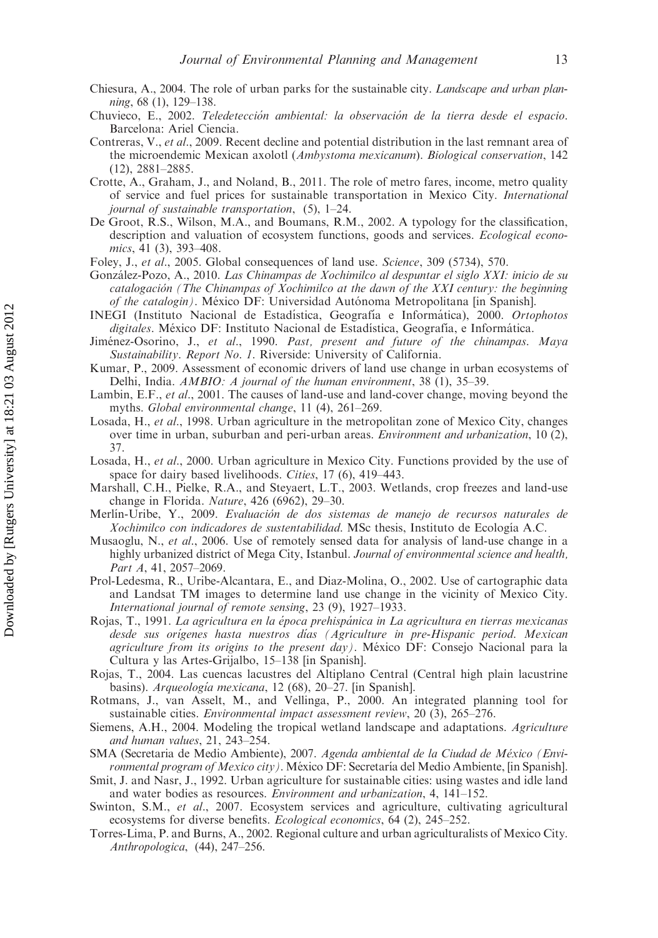- Chiesura, A., 2004. The role of urban parks for the sustainable city. Landscape and urban planning, 68 (1), 129–138.
- Chuvieco, E., 2002. Teledetección ambiental: la observación de la tierra desde el espacio. Barcelona: Ariel Ciencia.
- Contreras, V., et al., 2009. Recent decline and potential distribution in the last remnant area of the microendemic Mexican axolotl (Ambystoma mexicanum). Biological conservation, 142 (12), 2881–2885.
- Crotte, A., Graham, J., and Noland, B., 2011. The role of metro fares, income, metro quality of service and fuel prices for sustainable transportation in Mexico City. International journal of sustainable transportation, (5), 1–24.
- De Groot, R.S., Wilson, M.A., and Boumans, R.M., 2002. A typology for the classification, description and valuation of ecosystem functions, goods and services. Ecological economics, 41 (3), 393–408.
- Foley, J., et al., 2005. Global consequences of land use. Science, 309 (5734), 570.
- González-Pozo, A., 2010. Las Chinampas de Xochimilco al despuntar el siglo XXI: inicio de su catalogación (The Chinampas of Xochimilco at the dawn of the XXI century: the beginning of the catalogin). México DF: Universidad Autónoma Metropolitana [in Spanish].
- INEGI (Instituto Nacional de Estadística, Geografía e Informática), 2000. Ortophotos digitales. México DF: Instituto Nacional de Estadística, Geografía, e Informática.
- Jiménez-Osorino, J., et al., 1990. Past, present and future of the chinampas. Maya Sustainability. Report No. 1. Riverside: University of California.
- Kumar, P., 2009. Assessment of economic drivers of land use change in urban ecosystems of Delhi, India.  $AMBIO:$  A journal of the human environment, 38  $(1)$ , 35–39.
- Lambin, E.F., et al., 2001. The causes of land-use and land-cover change, moving beyond the myths. Global environmental change, 11 (4), 261–269.
- Losada, H., et al., 1998. Urban agriculture in the metropolitan zone of Mexico City, changes over time in urban, suburban and peri-urban areas. Environment and urbanization, 10 (2), 37.
- Losada, H., et al., 2000. Urban agriculture in Mexico City. Functions provided by the use of space for dairy based livelihoods. Cities, 17 (6), 419–443.
- Marshall, C.H., Pielke, R.A., and Steyaert, L.T., 2003. Wetlands, crop freezes and land-use change in Florida. Nature, 426 (6962), 29–30.
- Merlín-Uribe, Y., 2009. Evaluación de dos sistemas de manejo de recursos naturales de Xochimilco con indicadores de sustentabilidad. MSc thesis, Instituto de Ecología A.C.
- Musaoglu, N., et al., 2006. Use of remotely sensed data for analysis of land-use change in a highly urbanized district of Mega City, Istanbul. Journal of environmental science and health, Part A, 41, 2057–2069.
- Prol-Ledesma, R., Uribe-Alcantara, E., and Diaz-Molina, O., 2002. Use of cartographic data and Landsat TM images to determine land use change in the vicinity of Mexico City. International journal of remote sensing, 23 (9), 1927–1933.
- Rojas, T., 1991. La agricultura en la época prehispánica in La agricultura en tierras mexicanas desde sus orígenes hasta nuestros días (Agriculture in pre-Hispanic period. Mexican agriculture from its origins to the present day). México DF: Consejo Nacional para la Cultura y las Artes-Grijalbo, 15–138 [in Spanish].
- Rojas, T., 2004. Las cuencas lacustres del Altiplano Central (Central high plain lacustrine basins). Arqueología mexicana, 12 (68), 20–27. [in Spanish].
- Rotmans, J., van Asselt, M., and Vellinga, P., 2000. An integrated planning tool for sustainable cities. Environmental impact assessment review, 20 (3), 265–276.
- Siemens, A.H., 2004. Modeling the tropical wetland landscape and adaptations. Agriculture and human values, 21, 243–254.
- SMA (Secretaria de Medio Ambiente), 2007. Agenda ambiental de la Ciudad de México (Environmental program of Mexico city). México DF: Secretaría del Medio Ambiente, [in Spanish].
- Smit, J. and Nasr, J., 1992. Urban agriculture for sustainable cities: using wastes and idle land and water bodies as resources. Environment and urbanization, 4, 141–152.
- Swinton, S.M., et al., 2007. Ecosystem services and agriculture, cultivating agricultural ecosystems for diverse benefits. *Ecological economics*, 64 (2), 245–252.
- Torres-Lima, P. and Burns, A., 2002. Regional culture and urban agriculturalists of Mexico City. Anthropologica, (44), 247–256.